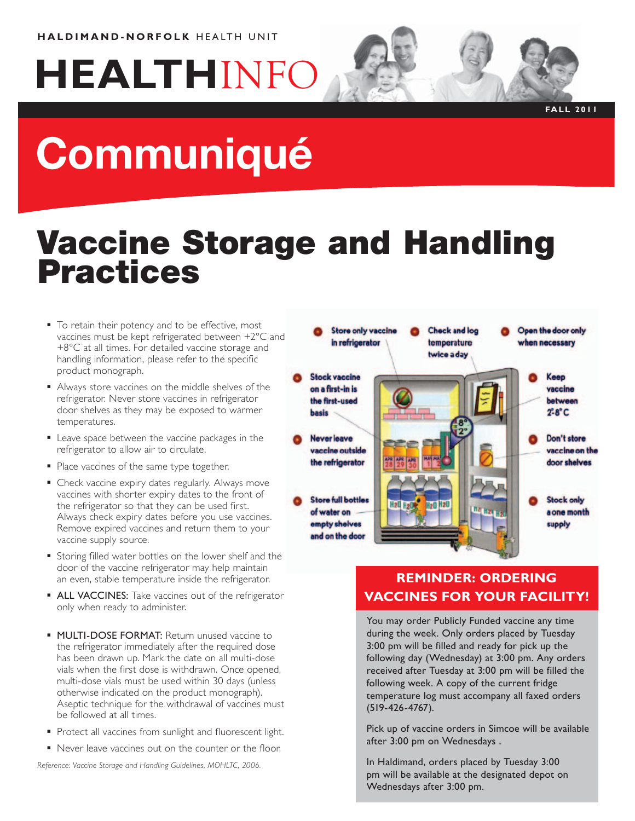# **HEALTH**INFO



# Vaccine Storage and Handling Practices

- To retain their potency and to be effective, most vaccines must be kept refrigerated between +2°C and +8°C at all times. For detailed vaccine storage and handling information, please refer to the specific product monograph.
- Always store vaccines on the middle shelves of the refrigerator. Never store vaccines in refrigerator door shelves as they may be exposed to warmer temperatures.
- **Leave space between the vaccine packages in the** refrigerator to allow air to circulate.
- Place vaccines of the same type together.
- **Check vaccine expiry dates regularly. Always move** vaccines with shorter expiry dates to the front of the refrigerator so that they can be used first. Always check expiry dates before you use vaccines. Remove expired vaccines and return them to your vaccine supply source.
- **Storing filled water bottles on the lower shelf and the** door of the vaccine refrigerator may help maintain an even, stable temperature inside the refrigerator.
- **ALL VACCINES:** Take vaccines out of the refrigerator only when ready to administer.
- **MULTI-DOSE FORMAT:** Return unused vaccine to the refrigerator immediately after the required dose has been drawn up. Mark the date on all multi-dose vials when the first dose is withdrawn. Once opened, multi-dose vials must be used within 30 days (unless otherwise indicated on the product monograph). Aseptic technique for the withdrawal of vaccines must be followed at all times.
- Protect all vaccines from sunlight and fluorescent light.
- Never leave vaccines out on the counter or the floor.

*Reference: Vaccine Storage and Handling Guidelines, MOHLTC, 2006.*

| <b>Check and log</b><br><b>Store only vaccine</b><br>in refrigerator<br>temperature<br>twice a day                                                      | Open the door only<br>when necessary                  |
|---------------------------------------------------------------------------------------------------------------------------------------------------------|-------------------------------------------------------|
| <b>Stock vaccine</b><br>on a first-in is<br>×<br>the first-used<br><b>basis</b>                                                                         | Keep<br>vaccine<br>between<br>$2^\circ$ -8 $^\circ$ C |
| <b>Never leave</b><br>vaccine outside<br><b>MAY MA</b><br><b>APR APR APR</b><br>the refrigerator                                                        | <b>Don't store</b><br>vaccine on the<br>door shelves  |
| <b>Store full bottles</b><br><b>H<sub>20</sub> H<sub>20</sub></b><br><b>H20 H200</b><br>of water on<br><b>LETTE</b><br>empty shelves<br>and on the door | <b>Stock only</b><br>a one month<br>supply            |

## **Reminder: Ordering Vaccines for your Facility!**

You may order Publicly Funded vaccine any time during the week. Only orders placed by Tuesday 3:00 pm will be filled and ready for pick up the following day (Wednesday) at 3:00 pm. Any orders received after Tuesday at 3:00 pm will be filled the following week. A copy of the current fridge temperature log must accompany all faxed orders (519-426-4767).

Pick up of vaccine orders in Simcoe will be available after 3:00 pm on Wednesdays .

In Haldimand, orders placed by Tuesday 3:00 pm will be available at the designated depot on Wednesdays after 3:00 pm.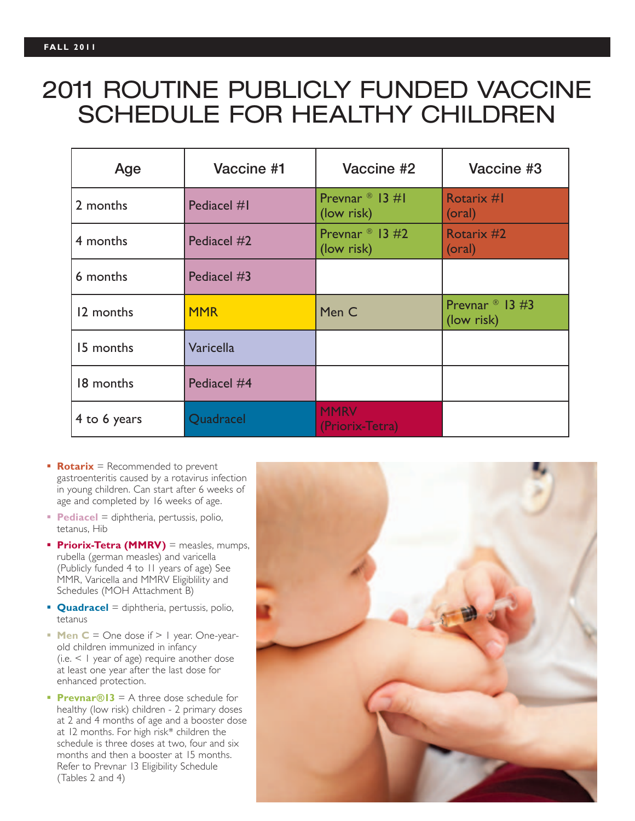# 2011 ROUTINE PUBLICLY FUNDED VACCINE SCHEDULE FOR HEALTHY CHILDREN

| Age          | Vaccine #1  | Vaccine #2                                | Vaccine #3                                |
|--------------|-------------|-------------------------------------------|-------------------------------------------|
| 2 months     | Pediacel #1 | Prevnar $\mathbb{B}$ 13 #1<br>(low risk)  | Rotarix #I<br>(oral)                      |
| 4 months     | Pediacel #2 | Prevnar $\textdegree$ 13 #2<br>(low risk) | Rotarix #2<br>(oral)                      |
| 6 months     | Pediacel #3 |                                           |                                           |
| 12 months    | <b>MMR</b>  | Men C                                     | Prevnar $\textdegree$ 13 #3<br>(low risk) |
| 15 months    | Varicella   |                                           |                                           |
| 18 months    | Pediacel #4 |                                           |                                           |
| 4 to 6 years | Quadracel   | <b>MMRV</b><br>(Priorix-Tetra)            |                                           |

- **Rotarix** = Recommended to prevent gastroenteritis caused by a rotavirus infection in young children. Can start after 6 weeks of age and completed by 16 weeks of age.
- **Pediacel** = diphtheria, pertussis, polio, tetanus, Hib
- **Priorix-Tetra (MMRV)** = measles, mumps, rubella (german measles) and varicella (Publicly funded 4 to 11 years of age) See MMR, Varicella and MMRV Eligiblility and Schedules (MOH Attachment B)
- **Quadracel** = diphtheria, pertussis, polio, tetanus
- **Men**  $C =$  One dose if  $> 1$  year. One-yearold children immunized in infancy (i.e. < 1 year of age) require another dose at least one year after the last dose for enhanced protection.
- **Prevnar®13** = A three dose schedule for healthy (low risk) children - 2 primary doses at 2 and 4 months of age and a booster dose at 12 months. For high risk\* children the schedule is three doses at two, four and six months and then a booster at 15 months. Refer to Prevnar 13 Eligibility Schedule (Tables 2 and 4)

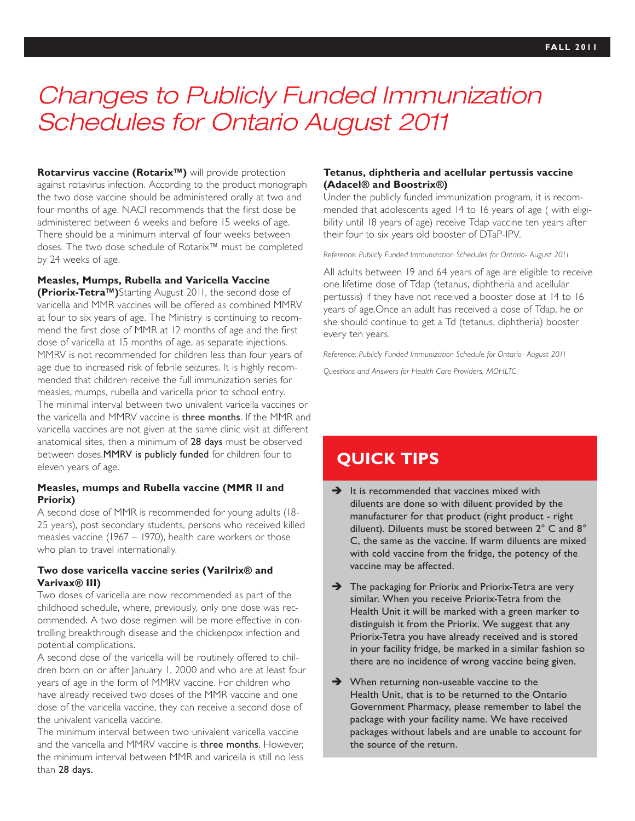# *Changes to Publicly Funded Immunization Schedules for Ontario August 2011*

**Rotarvirus vaccine (Rotarix™)** will provide protection against rotavirus infection. According to the product monograph the two dose vaccine should be administered orally at two and four months of age. NACI recommends that the first dose be administered between 6 weeks and before 15 weeks of age. There should be a minimum interval of four weeks between doses. The two dose schedule of Rotarix™ must be completed by 24 weeks of age.

#### **Measles, Mumps, Rubella and Varicella Vaccine**

**(Priorix-Tetra™)**Starting August 2011, the second dose of varicella and MMR vaccines will be offered as combined MMRV at four to six years of age. The Ministry is continuing to recommend the first dose of MMR at 12 months of age and the first dose of varicella at 15 months of age, as separate injections. MMRV is not recommended for children less than four years of age due to increased risk of febrile seizures. It is highly recommended that children receive the full immunization series for measles, mumps, rubella and varicella prior to school entry. The minimal interval between two univalent varicella vaccines or the varicella and MMRV vaccine is three months. If the MMR and varicella vaccines are not given at the same clinic visit at different anatomical sites, then a minimum of 28 days must be observed between doses.MMRV is publicly funded for children four to eleven years of age.

#### **Measles, mumps and Rubella vaccine (MMR II and Priorix)**

A second dose of MMR is recommended for young adults (18- 25 years), post secondary students, persons who received killed measles vaccine (1967 – 1970), health care workers or those who plan to travel internationally.

#### **Two dose varicella vaccine series (Varilrix® and Varivax® III)**

Two doses of varicella are now recommended as part of the childhood schedule, where, previously, only one dose was recommended. A two dose regimen will be more effective in controlling breakthrough disease and the chickenpox infection and potential complications.

A second dose of the varicella will be routinely offered to children born on or after January 1, 2000 and who are at least four years of age in the form of MMRV vaccine. For children who have already received two doses of the MMR vaccine and one dose of the varicella vaccine, they can receive a second dose of the univalent varicella vaccine.

The minimum interval between two univalent varicella vaccine and the varicella and MMRV vaccine is three months. However, the minimum interval between MMR and varicella is still no less than 28 days.

#### **Tetanus, diphtheria and acellular pertussis vaccine (Adacel® and Boostrix®)**

Under the publicly funded immunization program, it is recommended that adolescents aged 14 to 16 years of age ( with eligibility until 18 years of age) receive Tdap vaccine ten years after their four to six years old booster of DTaP-IPV.

#### *Reference: Publicly Funded Immunization Schedules for Ontario- August 2011*

All adults between 19 and 64 years of age are eligible to receive one lifetime dose of Tdap (tetanus, diphtheria and acellular pertussis) if they have not received a booster dose at 14 to 16 years of age.Once an adult has received a dose of Tdap, he or she should continue to get a Td (tetanus, diphtheria) booster every ten years.

*Reference: Publicly Funded Immunization Schedule for Ontario- August 2011 Questions and Answers for Health Care Providers, MOHLTC.*

## **Quick Tips**

- $\rightarrow$  It is recommended that vaccines mixed with diluents are done so with diluent provided by the manufacturer for that product (right product - right diluent). Diluents must be stored between 2° C and 8° C, the same as the vaccine. If warm diluents are mixed with cold vaccine from the fridge, the potency of the vaccine may be affected.
- $\rightarrow$  The packaging for Priorix and Priorix-Tetra are very similar. When you receive Priorix-Tetra from the Health Unit it will be marked with a green marker to distinguish it from the Priorix. We suggest that any Priorix-Tetra you have already received and is stored in your facility fridge, be marked in a similar fashion so there are no incidence of wrong vaccine being given.
- $\rightarrow$  When returning non-useable vaccine to the Health Unit, that is to be returned to the Ontario Government Pharmacy, please remember to label the package with your facility name. We have received packages without labels and are unable to account for the source of the return.